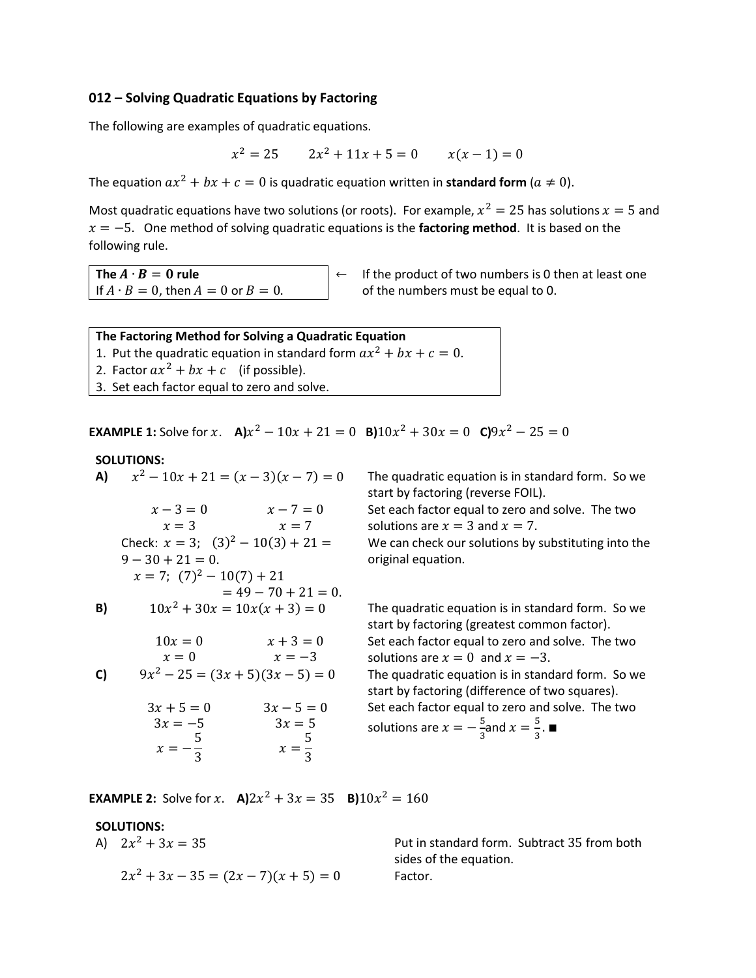# **012 – Solving Quadratic Equations by Factoring**

The following are examples of quadratic equations.

$$
x^2 = 25 \qquad 2x^2 + 11x + 5 = 0 \qquad x(x - 1) = 0
$$

The equation  $ax^2 + bx + c = 0$  is quadratic equation written in **standard form**  $(a \neq 0)$ .

Most quadratic equations have two solutions (or roots). For example,  $x^2 = 25$  has solutions  $x = 5$  and  $x = -5$ . One method of solving quadratic equations is the **factoring method**. It is based on the following rule.

If  $A \cdot B = 0$ , then  $A = 0$  or  $B = 0$ . of the numbers must be equal to 0.

**The**  $A \cdot B = 0$  **rule**  $\left| \leftarrow \right|$  if the product of two numbers is 0 then at least one

| The Factoring Method for Solving a Quadratic Equation                |  |  |  |
|----------------------------------------------------------------------|--|--|--|
| 1. Put the quadratic equation in standard form $ax^2 + bx + c = 0$ . |  |  |  |
| 2. Factor $ax^2 + bx + c$ (if possible).                             |  |  |  |
| 3. Set each factor equal to zero and solve.                          |  |  |  |
|                                                                      |  |  |  |

**EXAMPLE 1:** Solve for  $x$ . **A)** $x^2 - 10x + 21 = 0$  **B)** $10x^2 + 30x = 0$  **C)** $9x^2 - 25 = 0$ 

**SOLUTIONS:**<br>**A)**  $x^2 - 10x + 21 = (x - 3)(x - 7) = 0$ **A)**  $x - 3 = 0$   $x - 7 = 0$  $x = 3$   $x = 7$ Check:  $x = 3$ ;  $(3)^2 - 10(3) + 21 =$  $9 - 30 + 21 = 0$ .  $x = 7$ ;  $(7)^2 - 10(7) + 21$  $= 49 - 70 + 21 = 0.$ **B)**  $10x^2 + 30x = 10x(x+3) = 0$  $10x = 0$   $x + 3 = 0$  $x = 0$   $x = -3$ **C)**  $9x^2 - 25 = (3x + 5)(3x - 5) = 0$  $3x + 5 = 0$   $3x - 5 = 0$  $3x = -5$   $3x = 5$  $x = -$ 5  $\frac{1}{3}$   $x =$ 5 3

The quadratic equation is in standard form. So we start by factoring (reverse FOIL). Set each factor equal to zero and solve. The two solutions are  $x = 3$  and  $x = 7$ . We can check our solutions by substituting into the

original equation.

The quadratic equation is in standard form. So we start by factoring (greatest common factor). Set each factor equal to zero and solve. The two solutions are  $x = 0$  and  $x = -3$ . The quadratic equation is in standard form. So we start by factoring (difference of two squares). Set each factor equal to zero and solve. The two solutions are  $x = -\frac{5}{3}$  $rac{5}{3}$ and  $x = \frac{5}{3}$  $\frac{3}{3}$ .■

**EXAMPLE 2:** Solve for x.  $A$ ) $2x^2 + 3x = 35$  **B**) $10x^2 = 160$ 

## **SOLUTIONS:**

A)  $2x^2 + 3x = 35$ 

$$
2x^2 + 3x - 35 = (2x - 7)(x + 5) = 0
$$

Put in standard form. Subtract 35 from both sides of the equation.